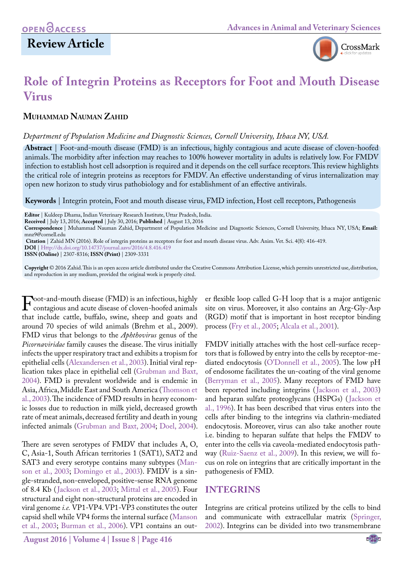# **Review Article**



# **Role of Integrin Proteins as Receptors for Foot and Mouth Disease Virus**

# **Muhammad Nauman Zahid**

### *Department of Population Medicine and Diagnostic Sciences, Cornell University, Ithaca NY, USA.*

**Abstract** | Foot-and-mouth disease (FMD) is an infectious, highly contagious and acute disease of cloven-hoofed animals. The morbidity after infection may reaches to 100% however mortality in adults is relatively low. For FMDV infection to establish host cell adsorption is required and it depends on the cell surface receptors. This review highlights the critical role of integrin proteins as receptors for FMDV. An effective understanding of virus internalization may open new horizon to study virus pathobiology and for establishment of an effective antivirals.

**Keywords** | Integrin protein, Foot and mouth disease virus, FMD infection, Host cell receptors, Pathogenesis

**DOI** | <Http://dx.doi.org/10.14737/journal.aavs/2016/4.8.416.419>

**ISSN (Online)** | 2307-8316; **ISSN (Print)** | 2309-3331

**Copyright** © 2016 Zahid. This is an open access article distributed under the Creative Commons Attribution License, which permits unrestricted use, distribution, and reproduction in any medium, provided the original work is properly cited.

Foot-and-mouth disease (FMD) is an infectious, highly<br>contagious and acute disease of cloven-hoofed animals<br>that include cattle buffalo swine, sheep and goats and that include cattle, buffalo, swine, sheep and goats and around 70 species of wild animals ([Brehm et al., 2009\)](#page-2-0). FMD virus that belongs to the *Aphthovirus* genus of the *Picornaviridae* family causes the disease. The virus initially infects the upper respiratory tract and exhibits a tropism for epithelial cells [\(Alexandersen et al., 2003\)](#page-2-1). Initial viral replication takes place in epithelial cell [\(Grubman and Baxt,](#page-3-0) [2004\)](#page-3-0). FMD is prevalent worldwide and is endemic in Asia, Africa, Middle East and South America ([Thomson et](#page-3-1) [al., 2003\)](#page-3-1). The incidence of FMD results in heavy economic losses due to reduction in milk yield, decreased growth rate of meat animals, decreased fertility and death in young infected animals ([Grubman and Baxt, 2004](#page-3-0); [Doel, 200](#page-2-2)4).

There are seven serotypes of FMDV that includes A, O, C, Asia-1, South African territories 1 (SAT1), SAT2 and SAT3 and every serotype contains many subtypes ([Man](#page-3-2)[son et al., 2003](#page-3-2); [Domingo et al., 2003](#page-2-3)). FMDV is a single-stranded, non-enveloped, positive-sense RNA genome of 8.4 Kb ([Jackson et al., 2003](#page-3-3); Mittal et al., 2005). Four structural and eight non-structural proteins are encoded in viral genome *i.e.* VP1-VP4. VP1-VP3 constitutes the outer capsid shell while VP4 forms the internal surface ([Manson](#page-3-2) [et al., 2003](#page-3-2); [Burman et al., 2006\)](#page-2-4). VP1 contains an outer flexible loop called G-H loop that is a major antigenic site on virus. Moreover, it also contains an Arg-Gly-Asp (RGD) motif that is important in host receptor binding process ([Fry et al., 2005;](#page-2-5) [Alcala et al., 2001\)](#page-2-6).

FMDV initially attaches with the host cell-surface receptors that is followed by entry into the cells by receptor-mediated endocytosis (O'Donnell et al., 2005). The low pH of endosome facilitates the un-coating of the viral genome (Berryman et al., 2005). Many receptors of FMD have been reported including integrins ([Jackson et al., 2003\)](#page-3-3) and heparan sulfate proteoglycans (HSPGs) ([Jackson et](#page-3-4) [al., 1996](#page-3-4)). It has been described that virus enters into the cells after binding to the integrins via clathrin-mediated endocytosis. Moreover, virus can also take another route i.e. binding to heparan sulfate that helps the FMDV to enter into the cells via caveola-mediated endocytosis pathway (Ruiz-Saenz et al., 2009). In this review, we will focus on role on integrins that are critically important in the pathogenesis of FMD.

# **INTEGRINS**

Integrins are critical proteins utilized by the cells to bind and communicate with extracellular matrix ([Springer,](#page-3-5) [2002\)](#page-3-5). Integrins can be divided into two transmembrane

**Editor** | Kuldeep Dhama, Indian Veterinary Research Institute, Uttar Pradesh, India.

**Received** | July 13, 2016; **Accepted** | July 30, 2016; **Published** | August 13, 2016

**Correspondence** | Muhammad Nauman Zahid, Department of Population Medicine and Diagnostic Sciences, Cornell University, Ithaca NY, USA; **Email:**  mnz9@cornell.edu

**Citation** | Zahid MN (2016). Role of integrin proteins as receptors for foot and mouth disease virus. Adv. Anim. Vet. Sci. 4(8): 416-419.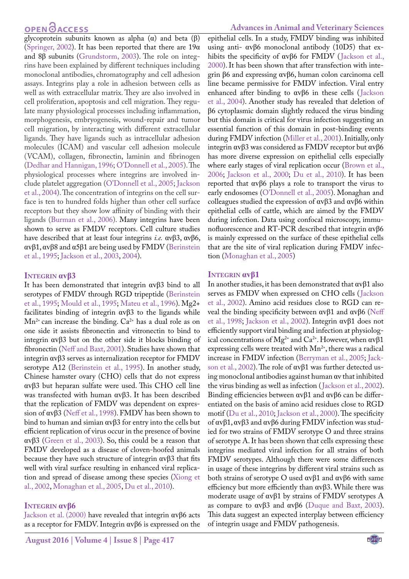# **OPEN**<sub>d</sub>

glycoprotein subunits known as alpha  $(\alpha)$  and beta  $(\beta)$ ([Springer, 2002](#page-3-5)). It has been reported that there are 19α and 8β subunits (Grundstorm, 2003). The role on integrins have been explained by different techniques including monoclonal antibodies, chromatography and cell adhesion assays. Integrins play a role in adhesion between cells as well as with extracellular matrix. They are also involved in cell proliferation, apoptosis and cell migration. They regulate many physiological processes including inflammation, morphogenesis, embryogenesis, wound-repair and tumor cell migration, by interacting with different extracellular ligands. They have ligands such as intracellular adhesion molecules (ICAM) and vascular cell adhesion molecule (VCAM), collagen, fibronectin, laminin and fibrinogen ([Dedhar and Hannigan, 1996;](#page-2-7) O'Donnell et al., 2005). The physiological processes where integrins are involved include platelet aggregation (O'Donnell et al., 2005; Jackson et al., 2004). The concentration of integrins on the cell surface is ten to hundred folds higher than other cell surface receptors but they show low affinity of binding with their ligands [\(Burman et al., 2006](#page-2-4)). Many integrins have been shown to serve as FMDV receptors. Cell culture studies have described that at least four integrins *i.e.* αvβ3, αvβ6, αvβ1, αvβ8 and α5β1 are being used by FMDV ([Berinstein](#page-2-8) [et al., 1995](#page-2-8); [Jackson et al., 2003](#page-3-3), 2004).

#### **Integrin αvβ3**

It has been demonstrated that integrin αvβ3 bind to all serotypes of FMDV through RGD tripeptide ([Berinstein](#page-2-8) [et al., 1995](#page-2-8); Mould et al., 1995; [Mateu et al., 1996\)](#page-3-6). Mg2+ facilitates binding of integrin αvβ3 to the ligands while  $Mn^{2+}$  can increase the binding.  $Ca^{2+}$  has a dual role as on one side it assists fibronectin and vitronectin to bind to integrin αvβ3 but on the other side it blocks binding of fibronectin [\(Neff and Baxt, 2001](#page-3-7)). Studies have shown that integrin αvβ3 serves as internalization receptor for FMDV serotype A12 [\(Berinstein et al., 1995](#page-2-8)). In another study, Chinese hamster ovary (CHO) cells that do not express αvβ3 but heparan sulfate were used. This CHO cell line was transfected with human αvβ3. It has been described that the replication of FMDV was dependent on expression of αvβ3 ([Neff et al., 1998\)](#page-3-8). FMDV has been shown to bind to human and simian αvβ3 for entry into the cells but efficient replication of virus occur in the presence of bovine αvβ3 ([Green et al., 2](#page-3-9)003). So, this could be a reason that FMDV developed as a disease of cloven-hoofed animals because they have such structure of integrin  $\alpha v \beta 3$  that fits well with viral surface resulting in enhanced viral replication and spread of disease among these species [\(Xiong et](#page-3-10) [al., 2002](#page-3-10), [Monaghan et al., 2005,](#page-3-11) [Du et al., 2010](#page-2-9)).

#### **Integrin αvβ6**

Jackson et al. (2000) have revealed that integrin αvβ6 acts as a receptor for FMDV. Integrin αvβ6 is expressed on the

## **Advances in Animal and Veterinary Sciences**

epithelial cells. In a study, FMDV binding was inhibited using anti- αvβ6 monoclonal antibody (10D5) that exhibits the specificity of αvβ6 for FMDV (Jackson et al., 2000). It has been shown that after transfection with integrin β6 and expressing αvβ6, human colon carcinoma cell line became permissive for FMDV infection. Viral entry enhanced after binding to αvβ6 in these cells (Jackson et al., 2004). Another study has revealed that deletion of β6 cytoplasmic domain slightly reduced the virus binding but this domain is critical for virus infection suggesting an essential function of this domain in post-binding events during FMDV infection ([Miller et al., 2001](#page-3-12)). Initially, only integrin αvβ3 was considered as FMDV receptor but αvβ6 has more diverse expression on epithelial cells especially where early stages of viral replication occur (Brown et al., [2006;](#page-2-10) Jackson et al., 2000; [Du et al., 2010](#page-2-9)). It has been reported that αvβ6 plays a role to transport the virus to early endosomes (O'Donnell et al., 2005). Monaghan and colleagues studied the expression of αvβ3 and αvβ6 within epithelial cells of cattle, which are aimed by the FMDV during infection. Data using confocal microscopy, immunofluorescence and RT-PCR described that integrin αvβ6 is mainly expressed on the surface of these epithelial cells that are the site of viral replication during FMDV infection ([Monaghan et al., 2005](#page-3-11))

#### **Integrin αvβ1**

In another studies, it has been demonstrated that αvβ1 also serves as FMDV when expressed on CHO cells (Jackson et al., 2002). Amino acid residues close to RGD can reveal the binding specificity between  $αvβ1$  and  $αvβ6$  (Neff [et al., 1998](#page-3-8); Jackson et al., 2002). Integrin αvβ1 does not efficiently support viral binding and infection at physiological concentrations of  $Mg^{2+}$  and  $Ca^{2+}$ . However, when  $\alpha v \beta 1$ expressing cells were treated with Mn<sup>2+</sup>, there was a radical increase in FMDV infection (Berryman et al., 2005; Jackson et al., 2002). The role of αvβ1 was further detected using monoclonal antibodies against human αv that inhibited the virus binding as well as infection (Jackson et al., 2002). Binding efficiencies between αvβ1 and αvβ6 can be differentiated on the basis of amino acid residues close to RGD motif [\(Du et al., 2010;](#page-2-9) Jackson et al., 2000). The specificity of αvβ1, αvβ3 and αvβ6 during FMDV infection was studied for two strains of FMDV serotype O and three strains of serotype A. It has been shown that cells expressing these integrins mediated viral infection for all strains of both FMDV serotypes. Although there were some differences in usage of these integrins by different viral strains such as both strains of serotype O used αvβ1 and αvβ6 with same efficiency but more efficiently than αvβ3. While there was moderate usage of αvβ1 by strains of FMDV serotypes A as compare to  $αvβ3$  and  $αvβ6$  [\(Duque and Baxt, 2003\)](#page-2-11). This data suggest an expected interplay between efficiency of integrin usage and FMDV pathogenesis.

NE**X**US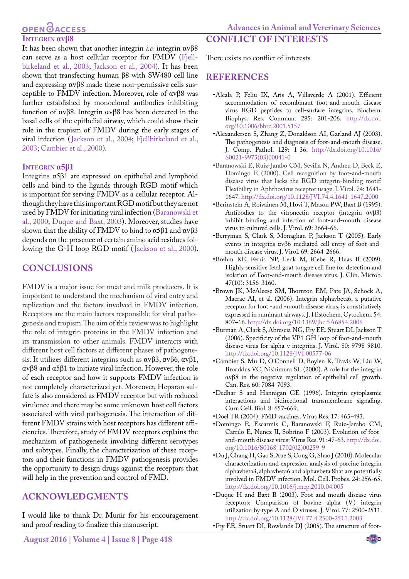#### **Advances in Animal and Veterinary Sciences**

## OPEN **OACCESS Integrin αvβ8**

It has been shown that another integrin *i.e.* integrin αvβ8 can serve as a host cellular receptor for FMDV [\(Fjell](#page-3-13)[birkeland et al., 2003;](#page-3-13) Jackson et al., 2004). It has been shown that transfecting human β8 with SW480 cell line and expressing αvβ8 made these non-permissive cells susceptible to FMDV infection. Moreover, role of αvβ8 was further established by monoclonal antibodies inhibiting function of αvβ8. Integrin αvβ8 has been detected in the basal cells of the epithelial airway, which could show their role in the tropism of FMDV during the early stages of viral infection (Jackson et al., 2004; [Fjellbirkeland et al.,](#page-3-13) [2003](#page-3-13); Cambier et al., 2000).

#### **Integrin α5β1**

Integrins α5β1 are expressed on epithelial and lymphoid cells and bind to the ligands through RGD motif which is important for serving FMDV as a cellular receptor. Although they have this important RGD motif but they are not used by FMDV for initiating viral infection [\(Baranowski et](#page-2-12) [al., 2000](#page-2-12); [Duque and Baxt, 2003](#page-2-11)). Moreover, studies have shown that the ability of FMDV to bind to  $\alpha$ 5β1 and  $\alpha$ vβ3 depends on the presence of certain amino acid residues following the G-H loop RGD motif (Jackson et al., 2000).

## **CONCLUSIONS**

FMDV is a major issue for meat and milk producers. It is important to understand the mechanism of viral entry and replication and the factors involved in FMDV infection. Receptors are the main factors responsible for viral pathogenesis and tropism. The aim of this review was to highlight the role of integrin proteins in the FMDV infection and its transmission to other animals. FMDV interacts with different host cell factors at different phases of pathogenesis. It utilizes different integrins such as αvβ3, αvβ6, αvβ1, αvβ8 and α5β1 to initiate viral infection. However, the role of each receptor and how it supports FMDV infection is not completely characterized yet. Moreover, Heparan sulfate is also considered as FMDV receptor but with reduced virulence and there may be some unknown host cell factors associated with viral pathogenesis. The interaction of different FMDV strains with host receptors has different efficiencies. Therefore, study of FMDV receptors explains the mechanism of pathogenesis involving different serotypes and subtypes. Finally, the characterization of these receptors and their functions in FMDV pathogenesis provides the opportunity to design drugs against the receptors that will help in the prevention and control of FMD.

# **ACKNOWLEDGMENTS**

I would like to thank Dr. Munir for his encouragement and proof reading to finalize this manuscript.

#### There exists no conflict of interests

**CONFLICT OF INTERESTS**

#### **REFERENCES**

- <span id="page-2-6"></span>•Alcala P, Feliu IX, Aris A, Villaverde A (2001). Efficient accommodation of recombinant foot-and-mouth disease virus RGD peptides to cell-surface integrins. Biochem. Biophys. Res. Commun. 285: 201-206. [http://dx.doi.](http://dx.doi.org/10.1006/bbrc.2001.5157) [org/10.1006/bbrc.2001.5157](http://dx.doi.org/10.1006/bbrc.2001.5157)
- <span id="page-2-1"></span>•Alexandersen S, Zhang Z, Donaldson AI, Garland AJ (2003). The pathogenesis and diagnosis of foot-and-mouth disease. J. Comp. Pathol. 129: 1-36. [http://dx.doi.org/10.1016/](http://dx.doi.org/10.1016/S0021-9975(03)00041-0) [S0021-9975\(03\)00041-0](http://dx.doi.org/10.1016/S0021-9975(03)00041-0)
- <span id="page-2-12"></span>•Baranowski E, Ruiz-Jarabo CM, Sevilla N, Andreu D, Beck E, Domingo E (2000). Cell recognition by foot-and-mouth disease virus that lacks the RGD integrin-binding motif: Flexibility in Aphthovirus receptor usage. J. Virol. 74: 1641- 1647.<http://dx.doi.org/10.1128/JVI.74.4.1641-1647.2000>
- <span id="page-2-8"></span>•Berinstein A, Roivainen M, Hovi T, Mason PW, Baxt B (1995). Antibodies to the vitronectin receptor (integrin αvβ3) inhibit binding and infection of foot-and-mouth disease virus to cultured cells. J. Virol. 69: 2664-66.
- •Berryman S, Clark S, Monaghan P, Jackson T (2005). Early events in integrins αvβ6 mediated cell entry of foot-andmouth disease virus. J. Virol. 69: 2664-2666.
- <span id="page-2-0"></span>•Brehm KE, Ferris NP, Lenk M, Riebe R, Haas B (2009). Highly sensitive fetal goat tongue cell line for detection and isolation of Foot-and-mouth disease virus. J. Clin. Microb. 47(10): 3156-3160.
- <span id="page-2-10"></span>•Brown JK, McAleese SM, Thornton EM, Pate JA, Schock A, Macrae AI, et al. (2006). Integrin-alphavbeta6, a putative receptor for foot -and -mouth disease virus, is constitutively expressed in ruminant airways. J. Histochem. Cytochem. 54: 807–16. <http://dx.doi.org/10.1369/jhc.5A6854.2006>
- <span id="page-2-4"></span>•Burman A, Clark S, Abrescia NG, Fry EE, Stuart DI, Jackson T (2006). Specificity of the VP1 GH loop of foot-and-mouth disease virus for alpha-v integrins. J. Virol. 80: 9798-9810. <http://dx.doi.org/10.1128/JVI.00577-06>
- •Cambier S, Mu D, O'Connell D, Boylen K, Travis W, Liu W, Broaddus VC, Nishimura SL (2000). A role for the integrin αvβ8 in the negative regulation of epithelial cell growth. Can. Res. 60: 7084-7093.
- <span id="page-2-7"></span>•Dedhar S and Hannigan GE (1996). Integrin cytoplasmic interactions and bidirectional transmembrane signaling. Curr. Cell. Biol. 8: 657-669.
- <span id="page-2-2"></span>•Doel TR (2004). FMD vaccines. Virus Res. 17: 465-493.
- <span id="page-2-3"></span>•Domingo E, Escarmis C, Baranowski F, Ruiz-Jarabo CM, Carrilo E, Nunez JI, Sobrino F (2003). Evolution of footand-mouth disease virus: Virus Res. 91: 47-63. [http://dx.doi.](http://dx.doi.org/10.1016/S0168-1702(02)00259-9) [org/10.1016/S0168-1702\(02\)00259-9](http://dx.doi.org/10.1016/S0168-1702(02)00259-9)
- <span id="page-2-9"></span>•Du J, Chang H, Gao S, Xue S, Cong G, Shao J (2010). Molecular characterization and expression analysis of porcine integrin alphavbeta3, alphavbeta6 and alphavbeta 8hat are potentially involved in FMDV infection. Mol. Cell. Probes. 24: 256-65. <http://dx.doi.org/10.1016/j.mcp.2010.04.005>
- <span id="page-2-11"></span>•Duque H and Baxt B (2003). Foot-and-mouth disease virus receptors: Comparison of bovine alpha (V) integrin utilization by type A and O viruses. J. Virol. 77: 2500-2511. <http://dx.doi.org/10.1128/JVI.77.4.2500-2511.2003>
- <span id="page-2-5"></span>•Fry EE, Stuart DI, Rowlands DJ (2005). The structure of foot-